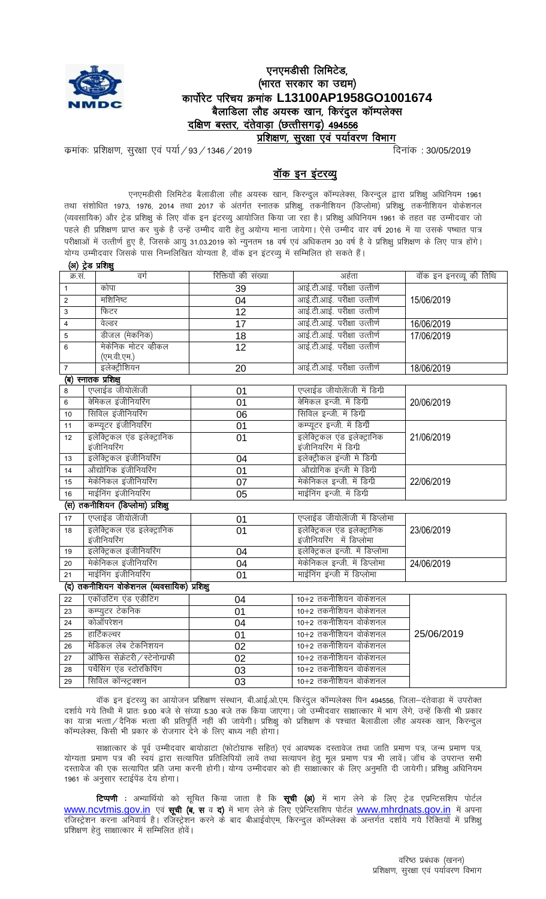

# एनएमडीसी लिमिटेड, (भारत सरकार का उद्यम) कार्पोरेट परिचय क्रमांक L13100AP1958GO1001674 बैलाडिला लौह अयस्क खान, किरंदुल कॉम्पलेक्स दक्षिण बस्तर, दंतेवाड़ा (छत्तीसगढ़) 494556

<u>प्रशिक्षण, सुरक्षा एवं पर्यावरण विभाग</u>

कमांकः प्रशिक्षण, सुरक्षा एवं पर्या / 93 / 1346 / 2019

दिनांक: 30/05/2019

# वॉक इन इंटरव्यू

एनएमडीसी लिमिटेड बैलाडीला लौह अयस्क खान, किरन्दुल कॉम्पलेक्स, किरन्दुल द्वारा प्रशिक्षु अधिनियम 1961 तथा संशोधित 1973, 1976, 2014 तथा 2017 के अंतर्गत स्नातक प्रशिक्षु, तकनीशियन (डिप्लोमा) प्रशिक्षु, तकनीशियन वोकेशनल (व्यवसायिक) और ट्रेड प्रशिक्षु के लिए वॉक इन इंटरव्यु आयोजित किया जा रहा है। प्रशिक्षु अधिनियम 1961 के तहत वह उम्मीदवार जो पहले ही प्रशिक्षण प्राप्त कर चुके है उन्हें उम्मीद वारी हेतु अयोग्य माना जायेगा। ऐसे उम्मीद वार वर्ष 2016 में या उसके पष्चात पात्र परीक्षाओं में उत्तीर्ण हुए है, जिसके आयु 31.03.2019 को न्युनतम 18 वर्ष एवं अधिकतम 30 वर्ष है वे प्रशिक्षु प्रशिक्षण के लिए पात्र होंगे। योग्य उम्मीदवार जिसके पास निम्नलिखित योग्यता है, वॉक इन इंटरव्यु में सम्मिलित हो सकते हैं। (अ) ट्रेड प्रशिक्षु

| क्र.सं.                                    | वर्ग                              | रिक्तियों की संख्या | अर्हता                          | वॉक इन इनरव्यू की तिथि |  |
|--------------------------------------------|-----------------------------------|---------------------|---------------------------------|------------------------|--|
| $\mathbf{1}$                               | कोपा                              | 39                  | आई.टी.आई. परीक्षा उत्तीर्ण      |                        |  |
| $\overline{2}$                             | मशिनिष्ट                          | 04                  | आई.टी.आई. परीक्षा उत्तीर्ण      | 15/06/2019             |  |
| 3                                          | फिटर                              | 12                  | आई.टी.आई. परीक्षा उत्तीर्ण      |                        |  |
| $\overline{4}$                             | वेल्डर                            | 17                  | आई.टी.आई. परीक्षा उत्तीर्ण      | 16/06/2019             |  |
| 5                                          | डीजल (मेकनिक)                     | 18                  | आई.टी.आई. परीक्षा उत्तीर्ण      | 17/06/2019             |  |
| 6                                          | मेकेनिक मोटर व्हीकल               | $\overline{12}$     | आई.टी.आई. परीक्षा उत्तीर्ण      |                        |  |
|                                            | (एम.वी.एम.)                       |                     |                                 |                        |  |
| $\overline{7}$                             | इलेक्ट्रीशियन                     | 20                  | आई.टी.आई. परीक्षा उत्तीर्ण      | 18/06/2019             |  |
|                                            | (ब) स्नातक प्रशिक्ष्              |                     |                                 |                        |  |
| 8                                          | एप्लाईड जीयोलॅाजी                 | 01                  | एप्लाईड जीयोलॅाजी में डिग्री    |                        |  |
| 6                                          | केमिकल इंजीनियरिंग                | 01                  | केमिकल इन्जी. में डिग्री        | 20/06/2019             |  |
| 10                                         | सिविल इंजीनियरिंग                 | 06                  | सिविल इन्जी. में डिग्री         |                        |  |
| 11                                         | कम्प्यूटर इंजीनियरिंग             | 01                  | कम्प्यूटर इन्जी. में डिर्गी     |                        |  |
| 12                                         | इलेक्ट्रिकल एंड इलेक्ट्रानिक      | 01                  | इलेक्ट्रिकल एंड इलेक्ट्रानिक    | 21/06/2019             |  |
|                                            | इंजीनियरिंग                       |                     | इंजीनियरिंग में डिग्प्री        |                        |  |
| 13                                         | इलेक्ट्रिकल इंजीनियरिंग           | 04                  | इलेक्ट्रीकल इंन्जी में डिग्री   |                        |  |
| 14                                         | ओद्योगिक इंजीनियरिंग              | 01                  | औद्योगिक इंन्जी में डिग्री      |                        |  |
| 15                                         | मेकेनिकल इंजीनियरिंग              | 07                  | मेकेनिकल इन्जी. में डिग्री      | 22/06/2019             |  |
| 16                                         | माईनिंग इंजीनियरिंग               | 05                  | माईनिंग इन्जी. में डिग्री       |                        |  |
|                                            | (स) तकनीशियन (डिप्लोमा) प्रशिक्षु |                     |                                 |                        |  |
| 17                                         | एप्लाईड जीयोलॅाजी                 | 01                  | एप्लाईड जीयोलॅाजी में डिप्लोमा  |                        |  |
| 18                                         | इलेक्ट्रिकल एंड इलेक्ट्रानिक      | 01                  | इलेक्ट्रिकल एंड इलेक्ट्रानिक    | 23/06/2019             |  |
|                                            | इंजीनियरिंग                       |                     | इंजीनियरिंग में डिप्लोमा        |                        |  |
| 19                                         | इलेक्ट्रिकल इंजीनियरिंग           | 04                  | इलेक्ट्रिकल इन्जी. में डिप्लोमा |                        |  |
| 20                                         | मेकेनिकल इंजीनियरिंग              | 04                  | मेकेनिकल इन्जी. में डिप्लोमा    | 24/06/2019             |  |
| 21                                         | माईनिंग इंजीनियरिंग               | 01                  | माईनिंग इंन्जी में डिप्लोमा     |                        |  |
| (द) तकनीशियन वोकेशनल (व्यवसायिक) प्रशिक्षु |                                   |                     |                                 |                        |  |
| 22                                         | एकॉउटिंग एंड एडीटिंग              | 04                  | 10+2 तकनीशियन वोकेशनल           |                        |  |
| 23                                         | कम्प्युटर टेकनिक                  | 01                  | 10+2 तकनीशियन वोकेशनल           |                        |  |
| 24                                         | कोऑपरेशन                          | 04                  | 10+2 तकनीशियन वोकेशनल           |                        |  |
| 25                                         | हार्टिकल्चर                       | 01                  | 10+2 तकनीशियन वोकेशनल           | 25/06/2019             |  |
| 26                                         | मेडिकल लेब टेकनिशयन               | 02                  | 10+2 तकनीशियन वोकेशनल           |                        |  |
| 27                                         | ऑफिस सेक्रेटरी / स्टेनोग्प्रफी    | 02                  | 10+2 तकनीशियन वोकेशनल           |                        |  |
| 28                                         | पर्चेसिंग एंड स्टोरकिपिंग         | 03                  | 10+2 तकनीशियन वोकेशनल           |                        |  |
| 29                                         | सिविल कॉन्स्ट्रक्शन               | 03                  | 10+2 तकनीशियन वोकेशनल           |                        |  |

वॉक इन इंटरव्यु का आयोजन प्रशिक्षण संस्थान, बी.आई.ओ.एम. किरंदुल कॉम्पलेक्स पिन 494556, जिला-दंतेवाड़ा में उपरोक्त दर्शाये गये तिथी में प्रातः 9:00 बजे से संघ्या 5:30 बजे तक किया जाएगा। जो उम्मीदवार साक्षात्कार में भाग लेंगे, उन्हें किसी भी प्रकार का यात्रा भत्ता / दैनिक भत्ता की प्रतिपूर्ति नहीं की जायेगी। प्रशिक्षु को प्रशिक्षण के पश्चात बैलाडीला लौह अयस्क खान, किरन्दुल कॉम्पलेक्स, किसी भी प्रकार के रोजगार देने के लिए बाध्य नही होगा।

साक्षात्कार के पूर्व उम्मीदवार बायोडाटा (फोटोग्राफ सहित) एवं आवष्यक दस्तावेज तथा जाति प्रमाण पत्र, जन्म प्रमाण पत्र, योग्यता प्रमाण पत्र की स्वयं द्वारा सत्यापित प्रतिलिपियों लावें तथा सत्यापन हेतु मूल प्रमाण पत्र भी लावें। जॉच के उपरान्त सभी दस्तावेज की एक सत्यापित प्रति जमा करनी होगी। योग्य उम्मीदवार को ही साक्षात्कार के लिए अनुमति दी जायेगी। प्रशिक्षु अधिनियम 1961 के अनुसार स्टाईपेंड देय होगा।

टिप्पणी : अभ्यार्थियो को सूचित किया जाता है कि सूची (अ) में भाग लेने के लिए ट्रेड एप्रन्टिसशिप पोर्टल www.ncvtmis.gov.in एवं **सूची (ब, स** व **द)** में भाग लेने के लिए एप्रेन्टिसशिप पोर्टल www.mhrdnats.gov.in में अपना रजिस्ट्रेशन करना अनिवार्य है। रजिस्ट्रेशन करने के बाद बीआईवोएम, किरन्दुल कॉम्प्लेक्स के अन्तर्गत दर्शाये गये रिक्तियों में प्रशिक्षु प्रशिक्षण हेतू साक्षात्कार में सम्मिलित होवें।